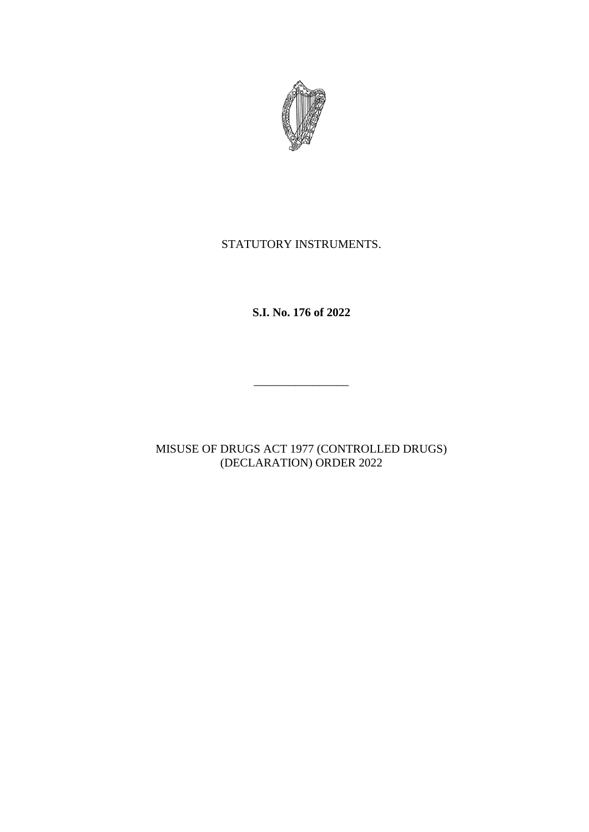

# STATUTORY INSTRUMENTS.

**S.I. No. 176 of 2022**

\_\_\_\_\_\_\_\_\_\_\_\_\_\_\_\_

MISUSE OF DRUGS ACT 1977 (CONTROLLED DRUGS) (DECLARATION) ORDER 2022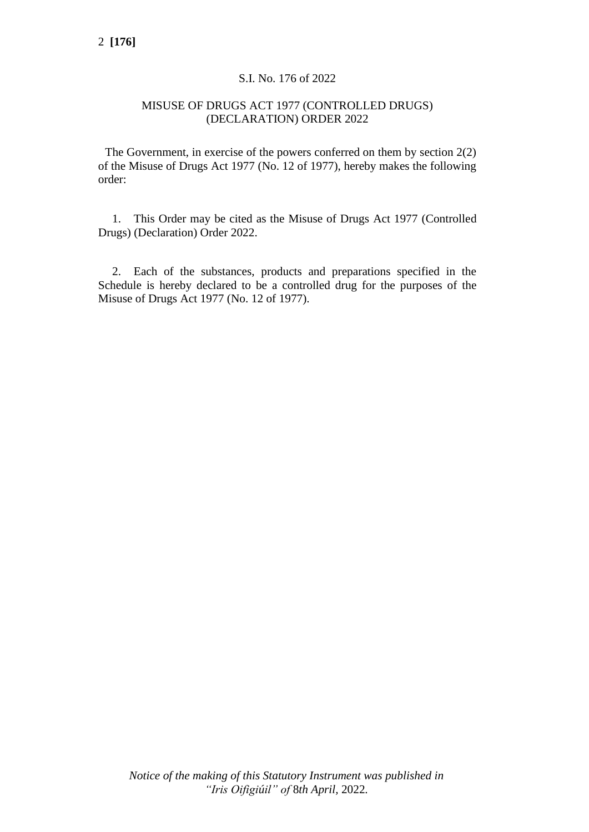## S.I. No. 176 of 2022

## MISUSE OF DRUGS ACT 1977 (CONTROLLED DRUGS) (DECLARATION) ORDER 2022

The Government, in exercise of the powers conferred on them by section 2(2) of the Misuse of Drugs Act 1977 (No. 12 of 1977), hereby makes the following order:

1. This Order may be cited as the Misuse of Drugs Act 1977 (Controlled Drugs) (Declaration) Order 2022.

2. Each of the substances, products and preparations specified in the Schedule is hereby declared to be a controlled drug for the purposes of the Misuse of Drugs Act 1977 (No. 12 of 1977).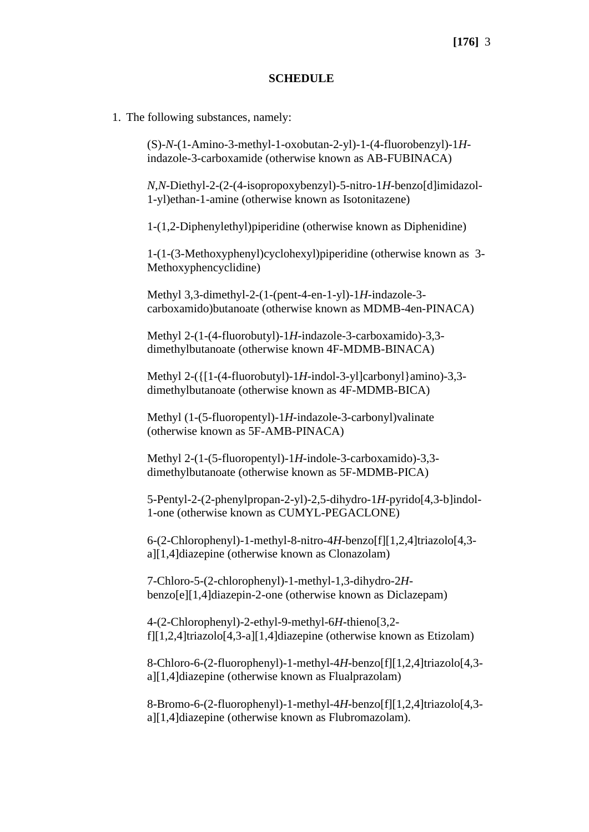### **SCHEDULE**

1. The following substances, namely:

(S)-*N*-(1-Amino-3-methyl-1-oxobutan-2-yl)-1-(4-fluorobenzyl)-1*H*indazole-3-carboxamide (otherwise known as AB-FUBINACA)

*N*,*N*-Diethyl-2-(2-(4-isopropoxybenzyl)-5-nitro-1*H*-benzo[d]imidazol-1-yl)ethan-1-amine (otherwise known as Isotonitazene)

1-(1,2-Diphenylethyl)piperidine (otherwise known as Diphenidine)

1-(1-(3-Methoxyphenyl)cyclohexyl)piperidine (otherwise known as 3- Methoxyphencyclidine)

Methyl 3,3-dimethyl-2-(1-(pent-4-en-1-yl)-1*H*-indazole-3 carboxamido)butanoate (otherwise known as MDMB-4en-PINACA)

Methyl 2-(1-(4-fluorobutyl)-1*H*-indazole-3-carboxamido)-3,3 dimethylbutanoate (otherwise known 4F-MDMB-BINACA)

Methyl 2-({[1-(4-fluorobutyl)-1*H*-indol-3-yl]carbonyl}amino)-3,3 dimethylbutanoate (otherwise known as 4F-MDMB-BICA)

Methyl (1-(5-fluoropentyl)-1*H*-indazole-3-carbonyl)valinate (otherwise known as 5F-AMB-PINACA)

Methyl 2-(1-(5-fluoropentyl)-1*H*-indole-3-carboxamido)-3,3 dimethylbutanoate (otherwise known as 5F-MDMB-PICA)

5-Pentyl-2-(2-phenylpropan-2-yl)-2,5-dihydro-1*H*-pyrido[4,3-b]indol-1-one (otherwise known as CUMYL-PEGACLONE)

6-(2-Chlorophenyl)-1-methyl-8-nitro-4*H*-benzo[f][1,2,4]triazolo[4,3 a][1,4]diazepine (otherwise known as Clonazolam)

7-Chloro-5-(2-chlorophenyl)-1-methyl-1,3-dihydro-2*H*benzo[e][1,4]diazepin-2-one (otherwise known as Diclazepam)

4-(2-Chlorophenyl)-2-ethyl-9-methyl-6*H*-thieno[3,2 f][1,2,4]triazolo[4,3-a][1,4]diazepine (otherwise known as Etizolam)

8-Chloro-6-(2-fluorophenyl)-1-methyl-4*H*-benzo[f][1,2,4]triazolo[4,3 a][1,4]diazepine (otherwise known as Flualprazolam)

8-Bromo-6-(2-fluorophenyl)-1-methyl-4*H*-benzo[f][1,2,4]triazolo[4,3 a][1,4]diazepine (otherwise known as Flubromazolam).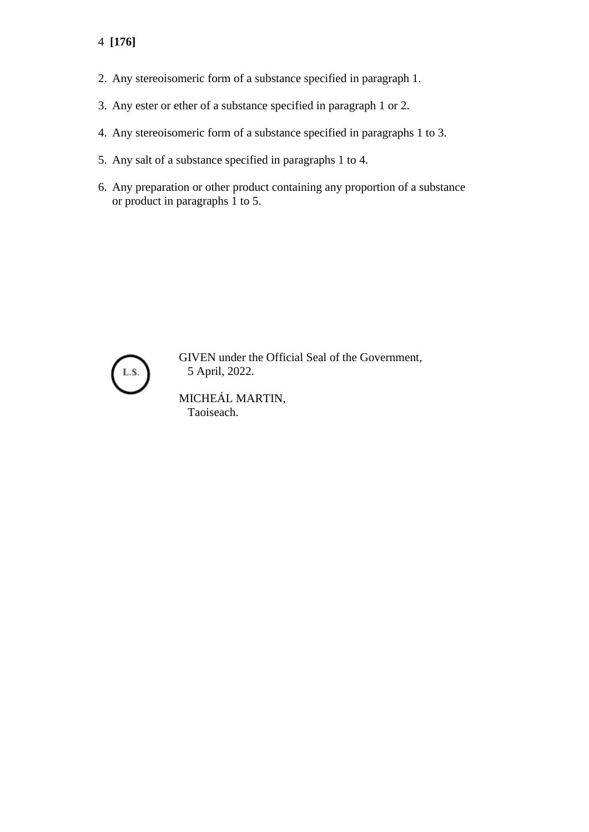- 4 **[176]**
- 2. Any stereoisomeric form of a substance specified in paragraph 1.
- 3. Any ester or ether of a substance specified in paragraph 1 or 2.
- 4. Any stereoisomeric form of a substance specified in paragraphs 1 to 3.
- 5. Any salt of a substance specified in paragraphs 1 to 4.
- 6. Any preparation or other product containing any proportion of a substance or product in paragraphs 1 to 5.



GIVEN under the Official Seal of the Government, 5 April, 2022.

MICHEÁL MARTIN, Taoiseach.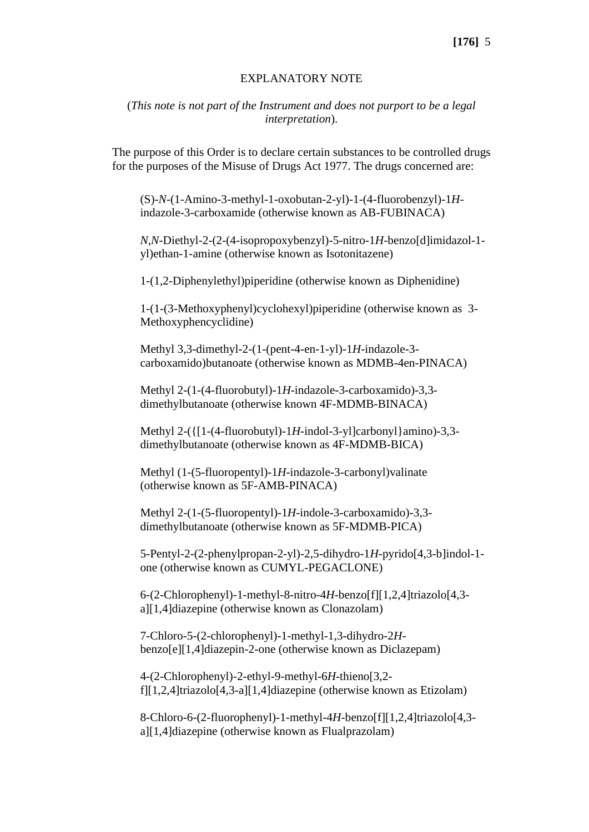## **[176]** 5

#### EXPLANATORY NOTE

## (*This note is not part of the Instrument and does not purport to be a legal interpretation*).

The purpose of this Order is to declare certain substances to be controlled drugs for the purposes of the Misuse of Drugs Act 1977. The drugs concerned are:

(S)-*N*-(1-Amino-3-methyl-1-oxobutan-2-yl)-1-(4-fluorobenzyl)-1*H*indazole-3-carboxamide (otherwise known as AB-FUBINACA)

*N*,*N*-Diethyl-2-(2-(4-isopropoxybenzyl)-5-nitro-1*H*-benzo[d]imidazol-1 yl)ethan-1-amine (otherwise known as Isotonitazene)

1-(1,2-Diphenylethyl)piperidine (otherwise known as Diphenidine)

1-(1-(3-Methoxyphenyl)cyclohexyl)piperidine (otherwise known as 3- Methoxyphencyclidine)

Methyl 3,3-dimethyl-2-(1-(pent-4-en-1-yl)-1*H*-indazole-3 carboxamido)butanoate (otherwise known as MDMB-4en-PINACA)

Methyl 2-(1-(4-fluorobutyl)-1*H*-indazole-3-carboxamido)-3,3 dimethylbutanoate (otherwise known 4F-MDMB-BINACA)

Methyl 2-({[1-(4-fluorobutyl)-1*H*-indol-3-yl]carbonyl}amino)-3,3 dimethylbutanoate (otherwise known as 4F-MDMB-BICA)

Methyl (1-(5-fluoropentyl)-1*H*-indazole-3-carbonyl)valinate (otherwise known as 5F-AMB-PINACA)

Methyl 2-(1-(5-fluoropentyl)-1*H*-indole-3-carboxamido)-3,3 dimethylbutanoate (otherwise known as 5F-MDMB-PICA)

5-Pentyl-2-(2-phenylpropan-2-yl)-2,5-dihydro-1*H*-pyrido[4,3-b]indol-1 one (otherwise known as CUMYL-PEGACLONE)

6-(2-Chlorophenyl)-1-methyl-8-nitro-4*H*-benzo[f][1,2,4]triazolo[4,3 a][1,4]diazepine (otherwise known as Clonazolam)

7-Chloro-5-(2-chlorophenyl)-1-methyl-1,3-dihydro-2*H*benzo[e][1,4]diazepin-2-one (otherwise known as Diclazepam)

4-(2-Chlorophenyl)-2-ethyl-9-methyl-6*H*-thieno[3,2 f][1,2,4]triazolo[4,3-a][1,4]diazepine (otherwise known as Etizolam)

8-Chloro-6-(2-fluorophenyl)-1-methyl-4*H*-benzo[f][1,2,4]triazolo[4,3 a][1,4]diazepine (otherwise known as Flualprazolam)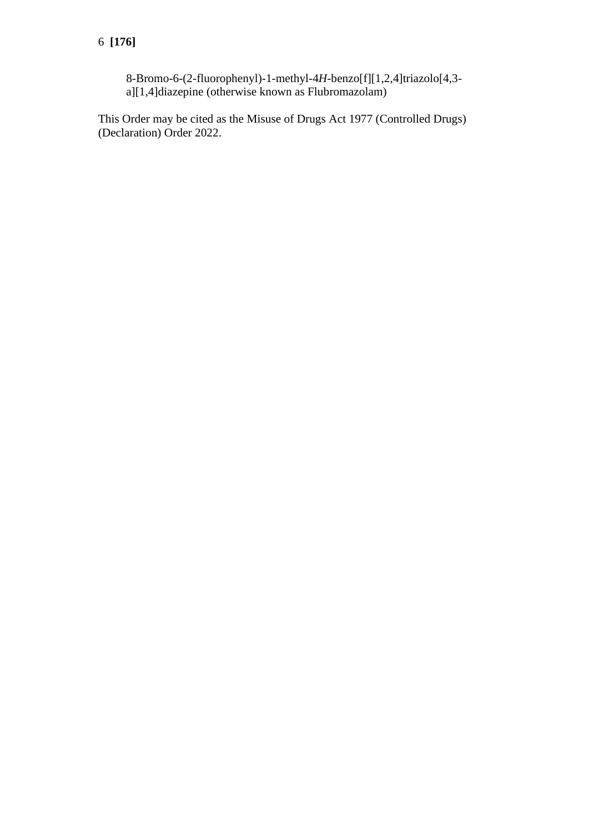8-Bromo-6-(2-fluorophenyl)-1-methyl-4*H*-benzo[f][1,2,4]triazolo[4,3 a][1,4]diazepine (otherwise known as Flubromazolam)

This Order may be cited as the Misuse of Drugs Act 1977 (Controlled Drugs) (Declaration) Order 2022.